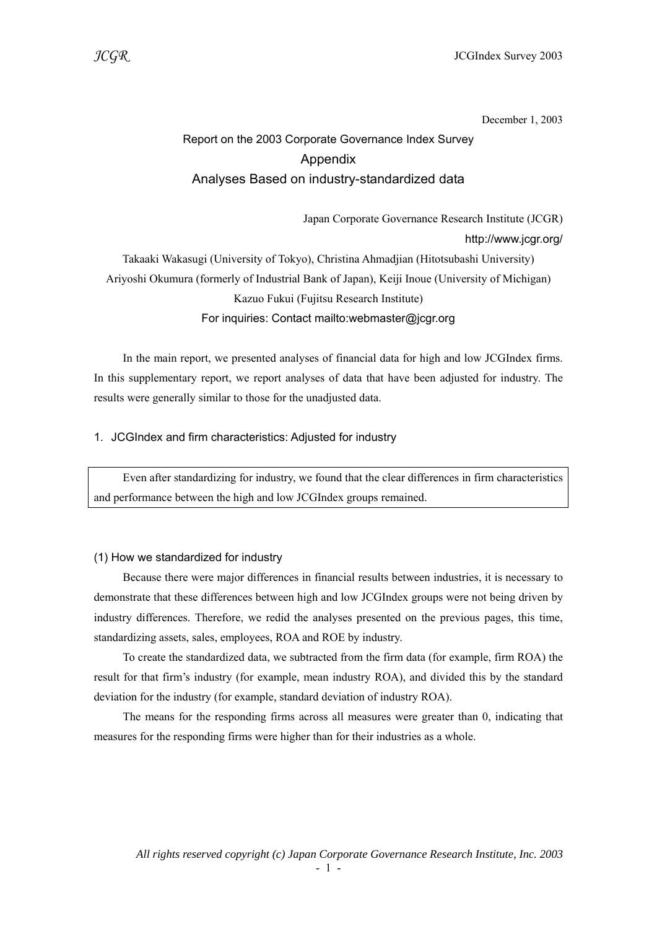December 1, 2003

# Report on the 2003 Corporate Governance Index Survey Appendix Analyses Based on industry-standardized data

 Japan Corporate Governance Research Institute (JCGR) http://www.jcgr.org/ Takaaki Wakasugi (University of Tokyo), Christina Ahmadjian (Hitotsubashi University) Ariyoshi Okumura (formerly of Industrial Bank of Japan), Keiji Inoue (University of Michigan) Kazuo Fukui (Fujitsu Research Institute) For inquiries: Contact mailto:webmaster@jcgr.org

 In the main report, we presented analyses of financial data for high and low JCGIndex firms. In this supplementary report, we report analyses of data that have been adjusted for industry. The results were generally similar to those for the unadjusted data.

#### 1. JCGIndex and firm characteristics: Adjusted for industry

 Even after standardizing for industry, we found that the clear differences in firm characteristics and performance between the high and low JCGIndex groups remained.

#### (1) How we standardized for industry

 Because there were major differences in financial results between industries, it is necessary to demonstrate that these differences between high and low JCGIndex groups were not being driven by industry differences. Therefore, we redid the analyses presented on the previous pages, this time, standardizing assets, sales, employees, ROA and ROE by industry.

 To create the standardized data, we subtracted from the firm data (for example, firm ROA) the result for that firm's industry (for example, mean industry ROA), and divided this by the standard deviation for the industry (for example, standard deviation of industry ROA).

 The means for the responding firms across all measures were greater than 0, indicating that measures for the responding firms were higher than for their industries as a whole.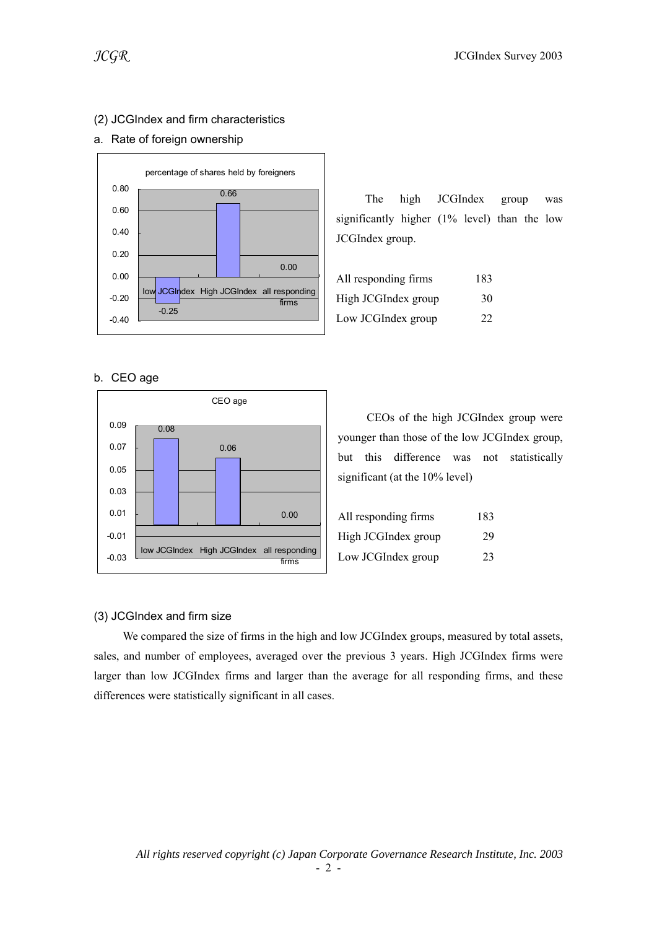#### (2) JCGIndex and firm characteristics

#### a. Rate of foreign ownership



b. CEO age



 The high JCGIndex group was significantly higher (1% level) than the low JCGIndex group.

| All responding firms | 183 |
|----------------------|-----|
| High JCGIndex group  | 30  |
| Low JCGIndex group   | 22  |

 CEOs of the high JCGIndex group were younger than those of the low JCGIndex group, but this difference was not statistically significant (at the 10% level)

| All responding firms | 183 |
|----------------------|-----|
| High JCGIndex group  | 29  |
| Low JCGIndex group   | 23  |

#### (3) JCGIndex and firm size

 We compared the size of firms in the high and low JCGIndex groups, measured by total assets, sales, and number of employees, averaged over the previous 3 years. High JCGIndex firms were larger than low JCGIndex firms and larger than the average for all responding firms, and these differences were statistically significant in all cases.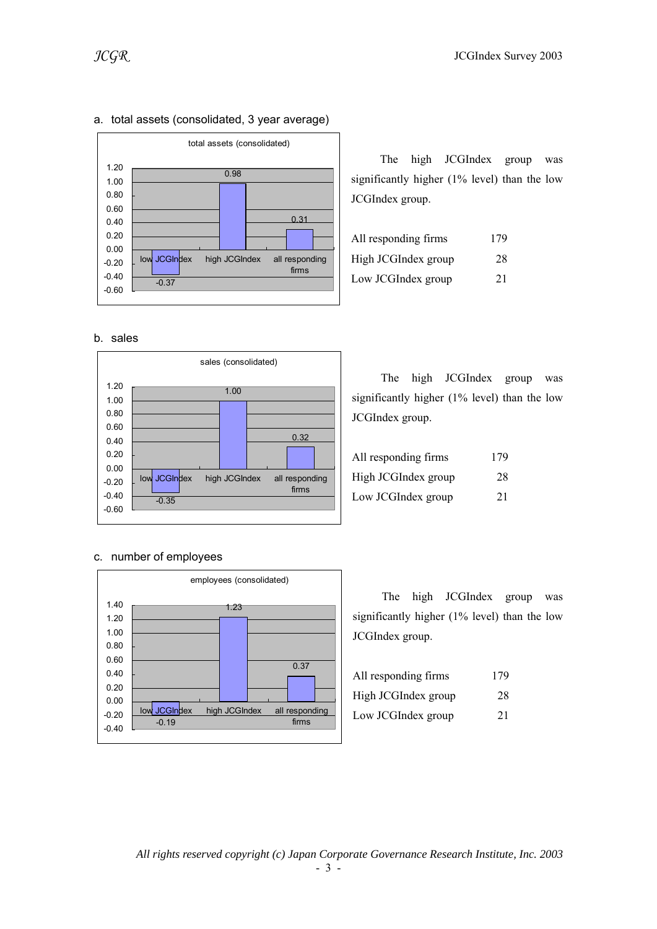

### a. total assets (consolidated, 3 year average)

b. sales



#### c. number of employees



 The high JCGIndex group was significantly higher (1% level) than the low JCGIndex group.

| All responding firms | 179 |
|----------------------|-----|
| High JCGIndex group  | 28  |
| Low JCGIndex group   | 21  |

 The high JCGIndex group was significantly higher (1% level) than the low JCGIndex group.

| All responding firms | 179 |
|----------------------|-----|
| High JCGIndex group  | 28  |
| Low JCGIndex group   | 21  |

 The high JCGIndex group was significantly higher (1% level) than the low JCGIndex group.

| All responding firms | 179 |
|----------------------|-----|
| High JCGIndex group  | 28  |
| Low JCGIndex group   | 21  |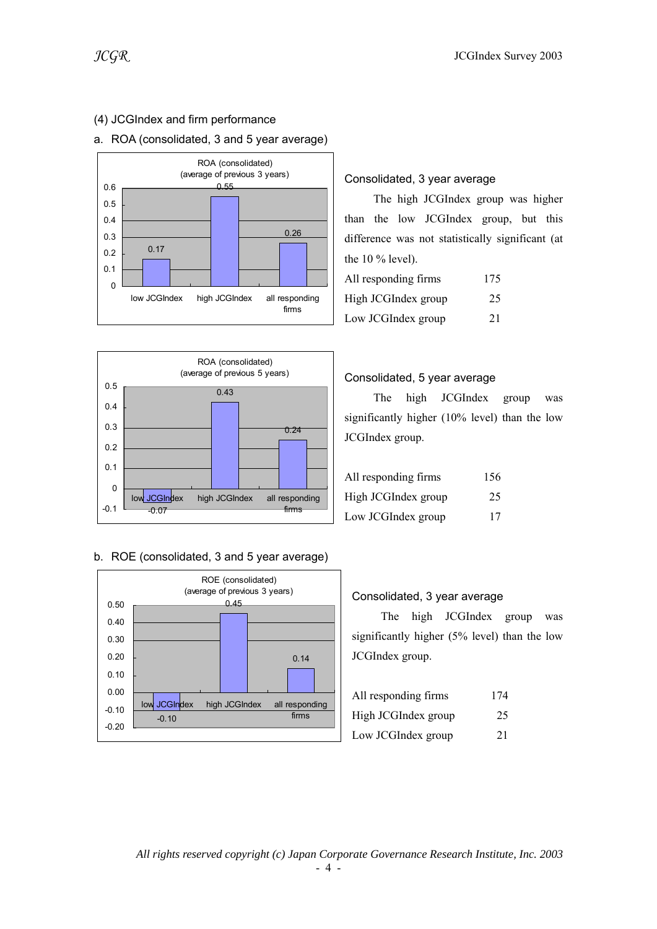## (4) JCGIndex and firm performance

### a. ROA (consolidated, 3 and 5 year average)





#### b. ROE (consolidated, 3 and 5 year average)



### Consolidated, 3 year average

 The high JCGIndex group was higher than the low JCGIndex group, but this difference was not statistically significant (at the 10 % level).

| All responding firms | 175 |
|----------------------|-----|
| High JCGIndex group  | 25  |
| Low JCGIndex group   | 21  |

#### Consolidated, 5 year average

 The high JCGIndex group was significantly higher (10% level) than the low JCGIndex group.

| All responding firms | 156 |
|----------------------|-----|
| High JCGIndex group  | 25  |
| Low JCGIndex group   | 17  |

#### Consolidated, 3 year average

 The high JCGIndex group was significantly higher (5% level) than the low JCGIndex group.

| All responding firms | 174 |
|----------------------|-----|
| High JCGIndex group  | 25  |
| Low JCGIndex group   | 21  |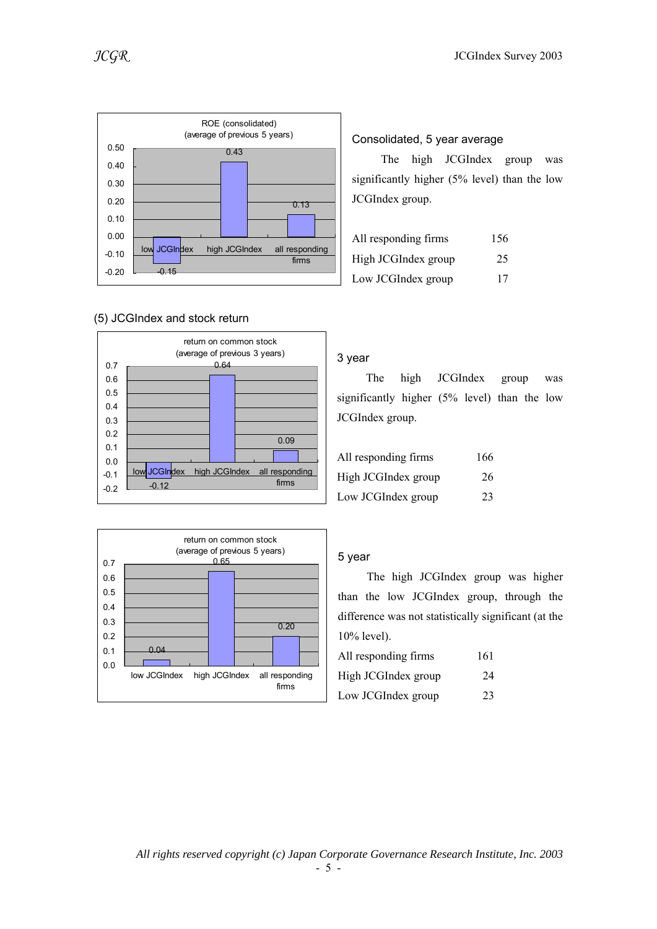

#### (5) JCGIndex and stock return





#### Consolidated, 5 year average

 The high JCGIndex group was significantly higher (5% level) than the low JCGIndex group.

| All responding firms | 156 |
|----------------------|-----|
| High JCGIndex group  | 25  |
| Low JCGIndex group   | 17  |

#### 3 year

 The high JCGIndex group was significantly higher (5% level) than the low JCGIndex group.

| All responding firms | 166 |
|----------------------|-----|
| High JCGIndex group  | 26  |
| Low JCGIndex group   | 23  |

#### 5 year

 The high JCGIndex group was higher than the low JCGIndex group, through the difference was not statistically significant (at the 10% level).

| All responding firms | 161 |
|----------------------|-----|
| High JCGIndex group  | 24  |
| Low JCGIndex group   | 23  |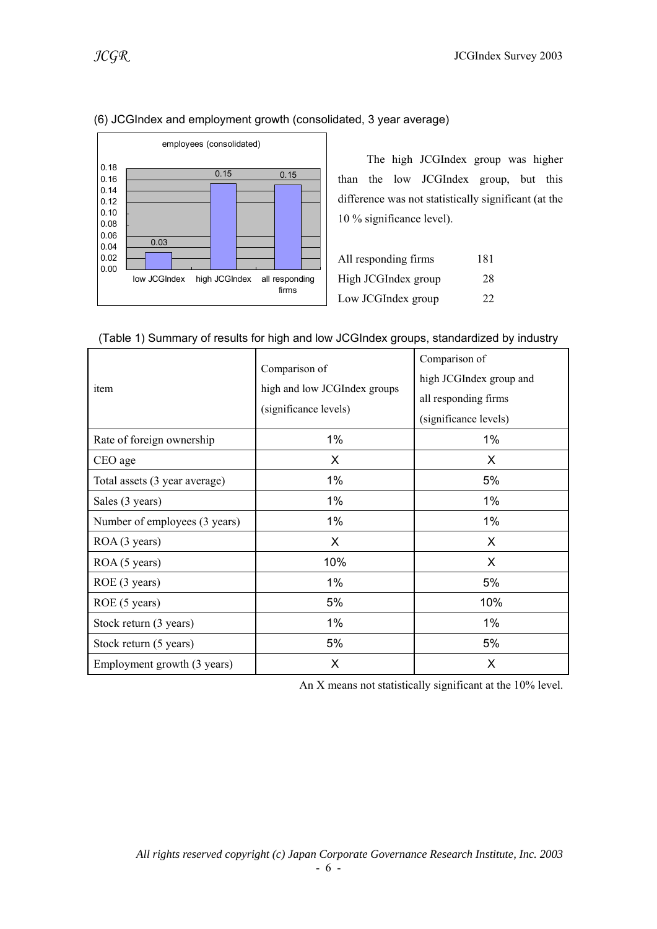

### (6) JCGIndex and employment growth (consolidated, 3 year average)

 The high JCGIndex group was higher than the low JCGIndex group, but this difference was not statistically significant (at the 10 % significance level).

| All responding firms | 181 |
|----------------------|-----|
| High JCGIndex group  | 28  |
| Low JCGIndex group   | 22  |

| item                          | Comparison of<br>high and low JCGIndex groups<br>(significance levels) | Comparison of<br>high JCGIndex group and<br>all responding firms<br>(significance levels) |
|-------------------------------|------------------------------------------------------------------------|-------------------------------------------------------------------------------------------|
| Rate of foreign ownership     | 1%                                                                     | 1%                                                                                        |
| CEO age                       | X                                                                      | X                                                                                         |
| Total assets (3 year average) | 1%                                                                     | 5%                                                                                        |
| Sales (3 years)               | 1%                                                                     | 1%                                                                                        |
| Number of employees (3 years) | 1%                                                                     | $1\%$                                                                                     |
| ROA (3 years)                 | X                                                                      | X                                                                                         |
| ROA (5 years)                 | 10%                                                                    | X                                                                                         |
| ROE (3 years)                 | 1%                                                                     | 5%                                                                                        |
| ROE (5 years)                 | 5%                                                                     | 10%                                                                                       |
| Stock return (3 years)        | 1%                                                                     | $1\%$                                                                                     |
| Stock return (5 years)        | 5%                                                                     | 5%                                                                                        |
| Employment growth (3 years)   | X                                                                      | X                                                                                         |

#### (Table 1) Summary of results for high and low JCGIndex groups, standardized by industry

An X means not statistically significant at the 10% level.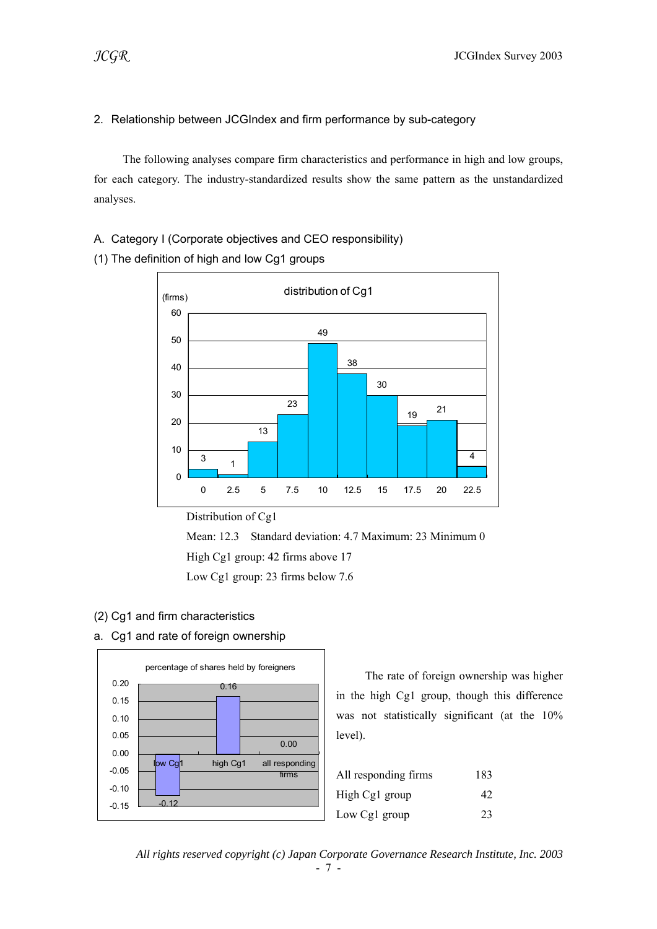#### 2. Relationship between JCGIndex and firm performance by sub-category

 The following analyses compare firm characteristics and performance in high and low groups, for each category. The industry-standardized results show the same pattern as the unstandardized analyses.

#### A. Category I (Corporate objectives and CEO responsibility)





Distribution of Cg1

 Mean: 12.3 Standard deviation: 4.7 Maximum: 23 Minimum 0 High Cg1 group: 42 firms above 17

Low Cg1 group: 23 firms below 7.6

#### (2) Cg1 and firm characteristics

a. Cg1 and rate of foreign ownership



 The rate of foreign ownership was higher in the high Cg1 group, though this difference was not statistically significant (at the 10% level).

| All responding firms | 183 |
|----------------------|-----|
| High Cg1 group       | 42  |
| Low Cg1 group        | 23  |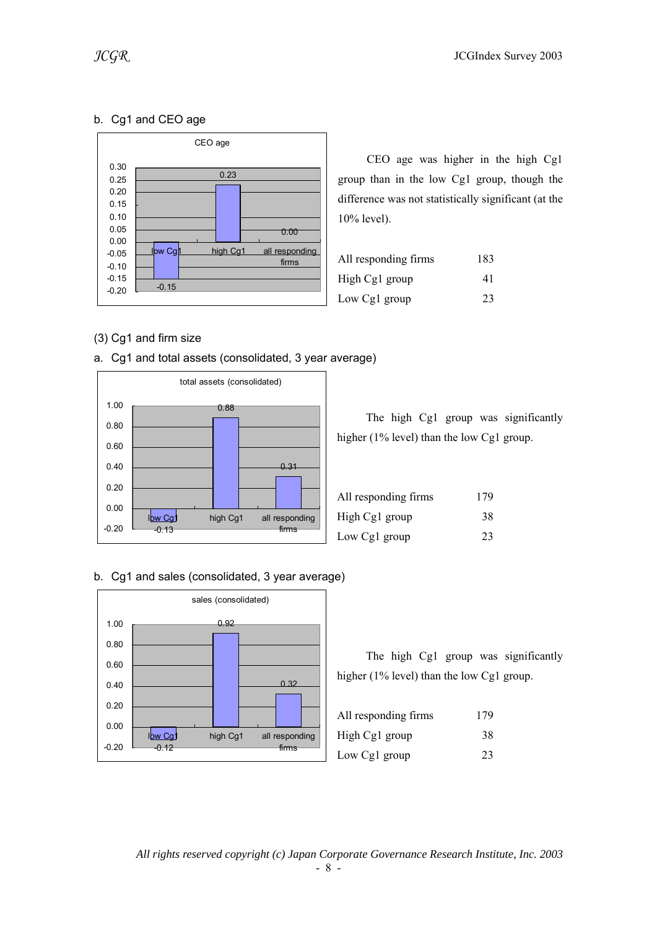### b. Cg1 and CEO age



 CEO age was higher in the high Cg1 group than in the low Cg1 group, though the difference was not statistically significant (at the 10% level).

| All responding firms | 183 |
|----------------------|-----|
| High Cg1 group       | 41  |
| Low Cg1 group        | 23  |

### (3) Cg1 and firm size





|                                              |  |  | The high Cg1 group was significantly |
|----------------------------------------------|--|--|--------------------------------------|
| higher $(1\%$ level) than the low Cg1 group. |  |  |                                      |

| All responding firms | 179 |
|----------------------|-----|
| High Cg1 group       | 38  |
| Low Cg1 group        | 23  |

#### b. Cg1 and sales (consolidated, 3 year average)



| All responding firms | 179 |
|----------------------|-----|
| High Cg1 group       | 38  |
| Low Cg1 group        | 23  |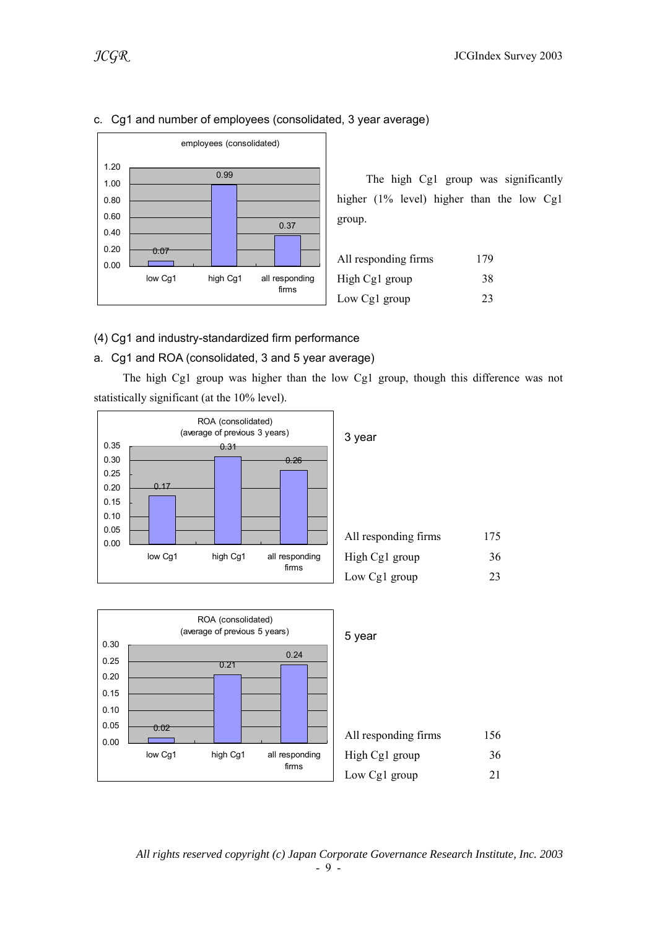

#### c. Cg1 and number of employees (consolidated, 3 year average)

 The high Cg1 group was significantly higher (1% level) higher than the low Cg1 group.

| All responding firms | 179 |
|----------------------|-----|
| High Cg1 group       | 38  |
| Low Cg1 group        | 23  |

#### (4) Cg1 and industry-standardized firm performance

#### a. Cg1 and ROA (consolidated, 3 and 5 year average)

 The high Cg1 group was higher than the low Cg1 group, though this difference was not statistically significant (at the 10% level).



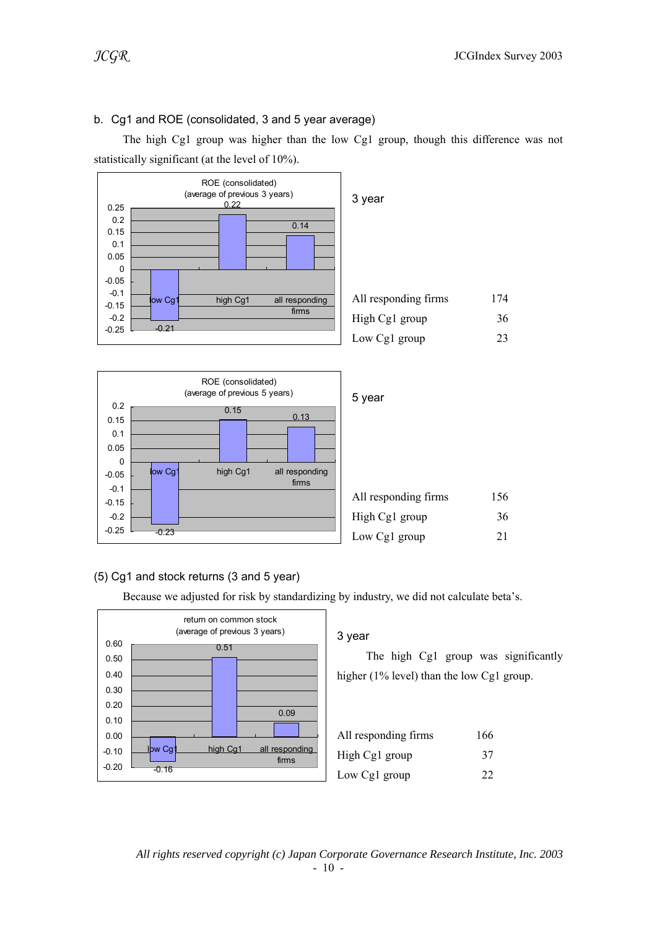### b. Cg1 and ROE (consolidated, 3 and 5 year average)

 The high Cg1 group was higher than the low Cg1 group, though this difference was not statistically significant (at the level of 10%).





### (5) Cg1 and stock returns (3 and 5 year)

Because we adjusted for risk by standardizing by industry, we did not calculate beta's.

![](_page_9_Figure_8.jpeg)

### 3 year

| All responding firms | 166 |
|----------------------|-----|
| High Cg1 group       | 37  |
| Low Cg1 group        | 22. |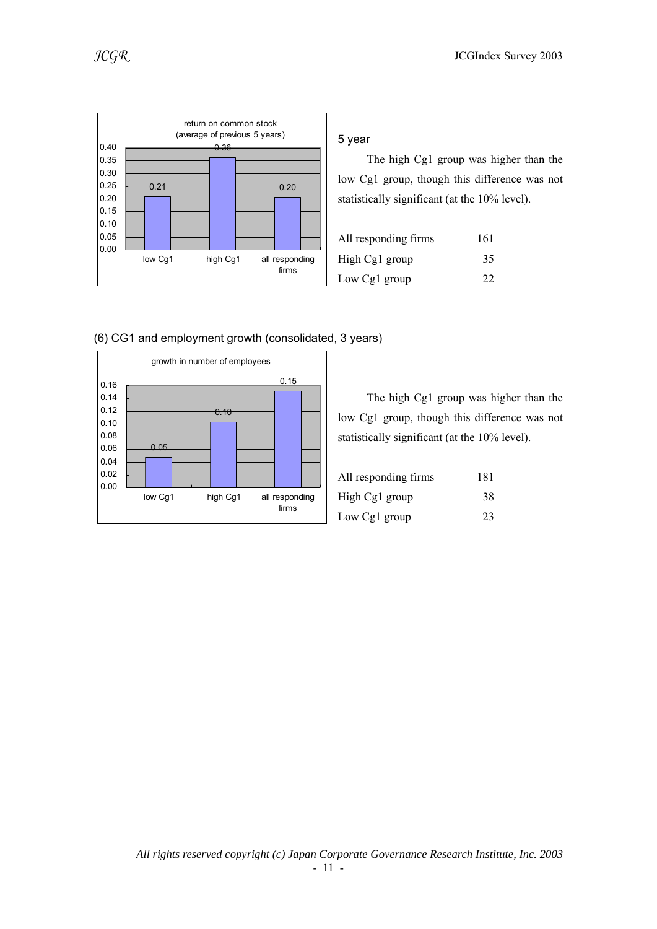![](_page_10_Figure_1.jpeg)

![](_page_10_Figure_2.jpeg)

5 year

 The high Cg1 group was higher than the low Cg1 group, though this difference was not statistically significant (at the 10% level).

| All responding firms | 161 |
|----------------------|-----|
| High Cg1 group       | 35  |
| Low Cg1 group        | 22  |

![](_page_10_Figure_6.jpeg)

The high Cg1 group was higher than the

low Cg1 group, though this difference was not statistically significant (at the 10% level).

| All responding firms | 181 |
|----------------------|-----|
| High Cg1 group       | 38  |
| Low Cg1 group        | 23  |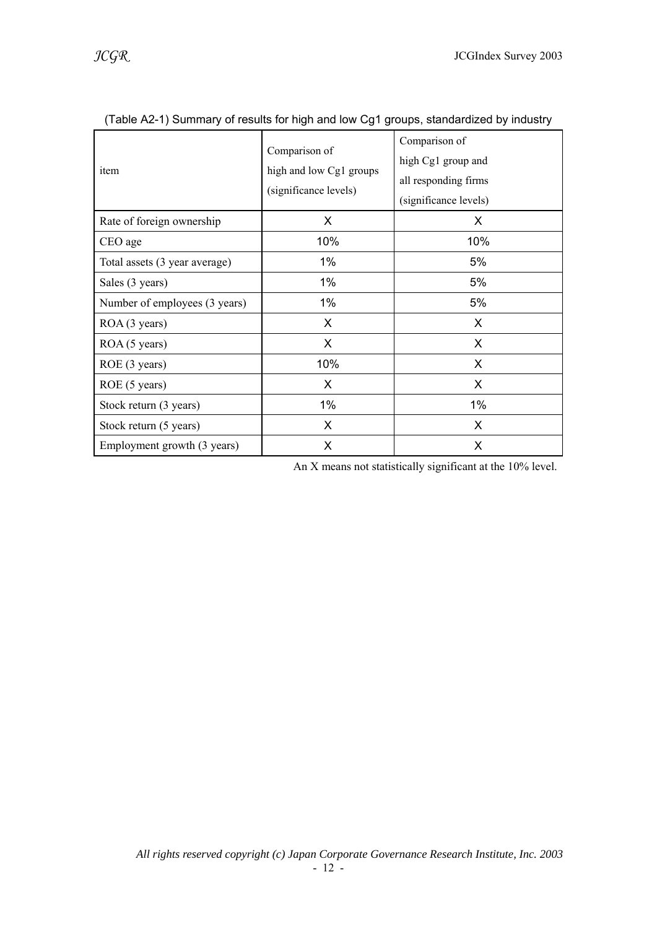| item                          | Comparison of<br>high and low Cg1 groups<br>(significance levels) | Comparison of<br>high Cg1 group and<br>all responding firms<br>(significance levels) |
|-------------------------------|-------------------------------------------------------------------|--------------------------------------------------------------------------------------|
| Rate of foreign ownership     | X.                                                                | X                                                                                    |
| CEO age                       | 10%                                                               | 10%                                                                                  |
| Total assets (3 year average) | $1\%$                                                             | 5%                                                                                   |
| Sales (3 years)               | 1%                                                                | 5%                                                                                   |
| Number of employees (3 years) | 1%                                                                | 5%                                                                                   |
| ROA (3 years)                 | $\times$                                                          | X                                                                                    |
| ROA (5 years)                 | X                                                                 | X                                                                                    |
| ROE (3 years)                 | 10%                                                               | X                                                                                    |
| ROE (5 years)                 | X                                                                 | X                                                                                    |
| Stock return (3 years)        | $1\%$                                                             | $1\%$                                                                                |
| Stock return (5 years)        | X                                                                 | X.                                                                                   |
| Employment growth (3 years)   | X                                                                 | X                                                                                    |

(Table A2-1) Summary of results for high and low Cg1 groups, standardized by industry

An X means not statistically significant at the 10% level.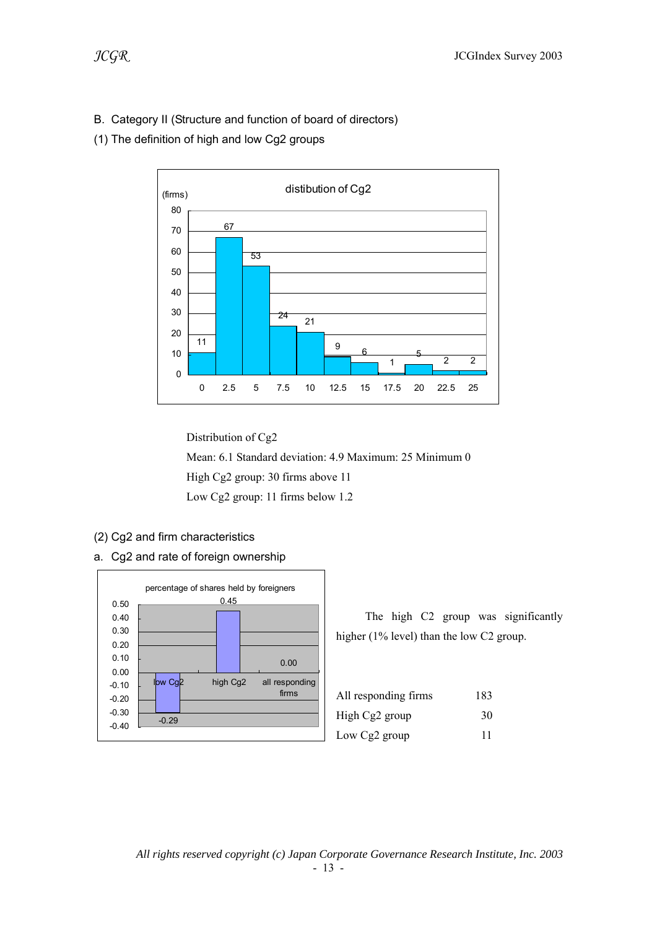- B. Category II (Structure and function of board of directors)
- (1) The definition of high and low Cg2 groups

![](_page_12_Figure_4.jpeg)

 Distribution of Cg2 Mean: 6.1 Standard deviation: 4.9 Maximum: 25 Minimum 0 High Cg2 group: 30 firms above 11 Low Cg2 group: 11 firms below 1.2

- (2) Cg2 and firm characteristics
- a. Cg2 and rate of foreign ownership

![](_page_12_Figure_8.jpeg)

| All responding firms | 183 |
|----------------------|-----|
| High Cg2 group       | 30  |
| Low Cg2 group        | 11  |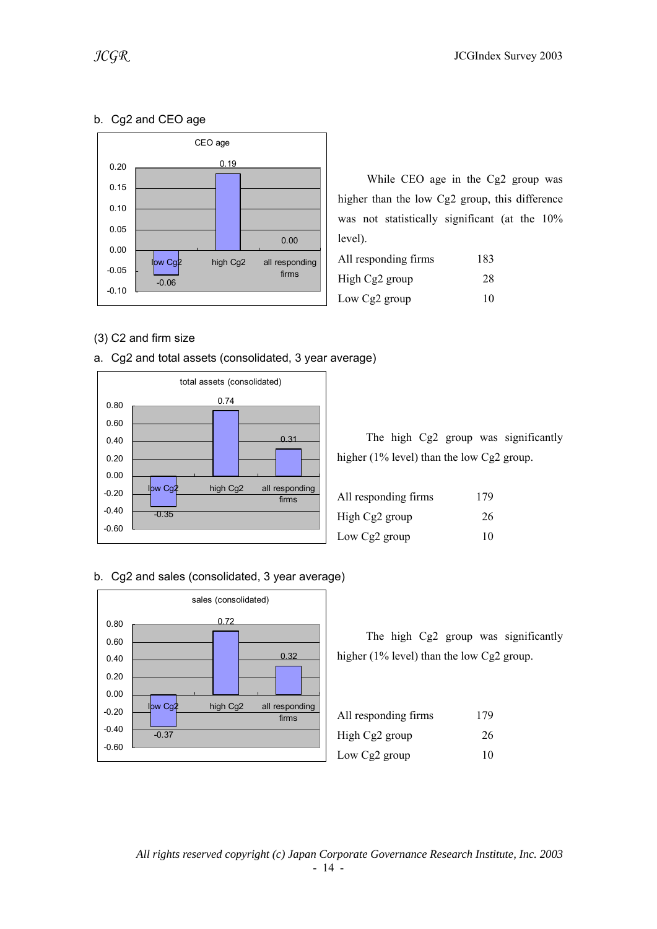## b. Cg2 and CEO age

![](_page_13_Figure_3.jpeg)

 While CEO age in the Cg2 group was higher than the low Cg2 group, this difference was not statistically significant (at the 10% level).

| All responding firms | 183 |
|----------------------|-----|
| High Cg2 group       | 28  |
| Low Cg2 group        | 10  |

### (3) C2 and firm size

![](_page_13_Figure_7.jpeg)

![](_page_13_Figure_8.jpeg)

|  |  |                                              | The high Cg2 group was significantly |
|--|--|----------------------------------------------|--------------------------------------|
|  |  | higher $(1\%$ level) than the low Cg2 group. |                                      |

| All responding firms | 179 |
|----------------------|-----|
| High Cg2 group       | 26  |
| Low Cg2 group        | 10  |

#### b. Cg2 and sales (consolidated, 3 year average)

![](_page_13_Figure_12.jpeg)

| All responding firms | 179 |
|----------------------|-----|
| High Cg2 group       | 26  |
| Low Cg2 group        | 10  |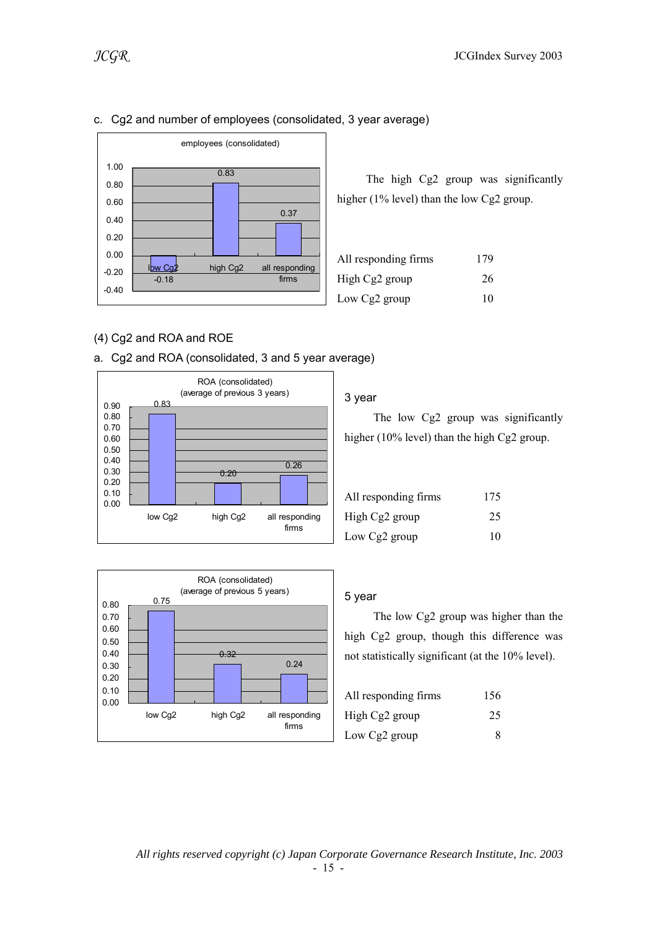![](_page_14_Figure_2.jpeg)

#### c. Cg2 and number of employees (consolidated, 3 year average)

### (4) Cg2 and ROA and ROE

![](_page_14_Figure_5.jpeg)

![](_page_14_Figure_6.jpeg)

![](_page_14_Figure_7.jpeg)

#### 3 year

 The low Cg2 group was significantly higher (10% level) than the high Cg2 group.

The high Cg2 group was significantly

higher (1% level) than the low Cg2 group.

All responding firms 179 High Cg2 group  $26$ Low Cg2 group  $10$ 

| All responding firms | 175 |
|----------------------|-----|
| High Cg2 group       | 25  |
| Low Cg2 group        | 10  |

#### 5 year

 The low Cg2 group was higher than the high Cg2 group, though this difference was not statistically significant (at the 10% level).

| All responding firms | 156 |
|----------------------|-----|
| High Cg2 group       | 25  |
| Low Cg2 group        | 8   |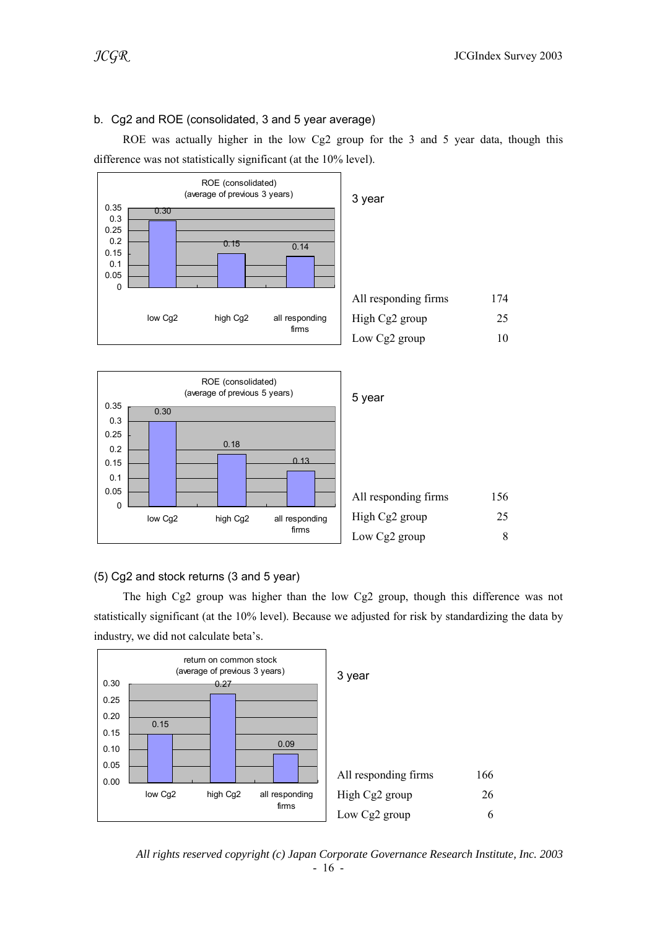#### b. Cg2 and ROE (consolidated, 3 and 5 year average)

 ROE was actually higher in the low Cg2 group for the 3 and 5 year data, though this difference was not statistically significant (at the 10% level).

![](_page_15_Figure_4.jpeg)

![](_page_15_Figure_5.jpeg)

#### (5) Cg2 and stock returns (3 and 5 year)

 The high Cg2 group was higher than the low Cg2 group, though this difference was not statistically significant (at the 10% level). Because we adjusted for risk by standardizing the data by industry, we did not calculate beta's.

![](_page_15_Figure_8.jpeg)

*All rights reserved copyright (c) Japan Corporate Governance Research Institute, Inc. 2003*  - 16 -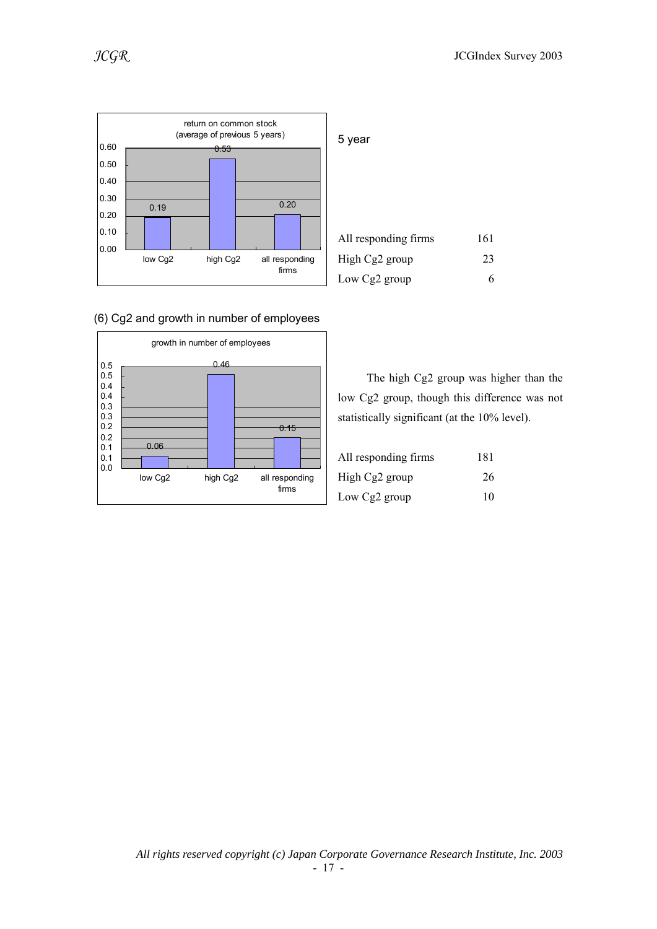![](_page_16_Figure_2.jpeg)

![](_page_16_Figure_3.jpeg)

![](_page_16_Figure_4.jpeg)

| 5 year               |     |
|----------------------|-----|
| All responding firms | 161 |
| High Cg2 group       | 23  |
| Low Cg2 group        |     |

 The high Cg2 group was higher than the low Cg2 group, though this difference was not statistically significant (at the 10% level).

| All responding firms | 181 |
|----------------------|-----|
| High Cg2 group       | 26  |
| Low Cg2 group        | 10  |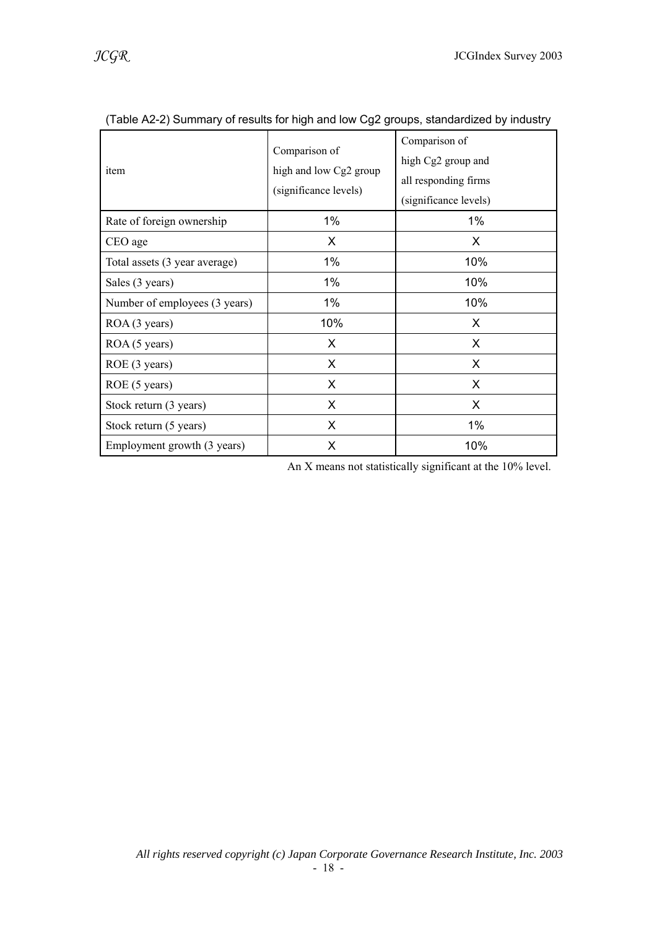| item                          | Comparison of<br>high and low Cg2 group<br>(significance levels) | Comparison of<br>high Cg2 group and<br>all responding firms<br>(significance levels) |
|-------------------------------|------------------------------------------------------------------|--------------------------------------------------------------------------------------|
| Rate of foreign ownership     | 1%                                                               | 1%                                                                                   |
| CEO age                       | X                                                                | X                                                                                    |
| Total assets (3 year average) | 1%                                                               | 10%                                                                                  |
| Sales (3 years)               | $1\%$                                                            | 10%                                                                                  |
| Number of employees (3 years) | 1%                                                               | 10%                                                                                  |
| ROA (3 years)                 | 10%                                                              | X                                                                                    |
| ROA (5 years)                 | X                                                                | X                                                                                    |
| ROE (3 years)                 | X                                                                | X                                                                                    |
| ROE (5 years)                 | X                                                                | X                                                                                    |
| Stock return (3 years)        | X                                                                | X                                                                                    |
| Stock return (5 years)        | X                                                                | 1%                                                                                   |
| Employment growth (3 years)   | X                                                                | 10%                                                                                  |

(Table A2-2) Summary of results for high and low Cg2 groups, standardized by industry

An X means not statistically significant at the 10% level.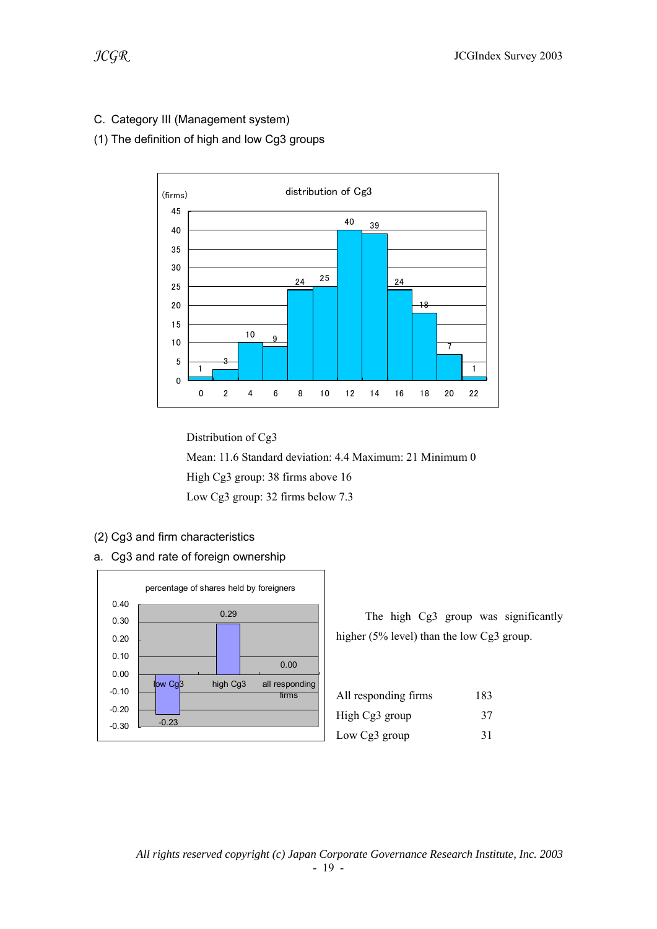### C. Category III (Management system)

### (1) The definition of high and low Cg3 groups

![](_page_18_Figure_4.jpeg)

 Distribution of Cg3 Mean: 11.6 Standard deviation: 4.4 Maximum: 21 Minimum 0 High Cg3 group: 38 firms above 16 Low Cg3 group: 32 firms below 7.3

- (2) Cg3 and firm characteristics
- a. Cg3 and rate of foreign ownership

![](_page_18_Figure_8.jpeg)

| All responding firms | 183 |
|----------------------|-----|
| High Cg3 group       | 37  |
| Low Cg3 group        | 31  |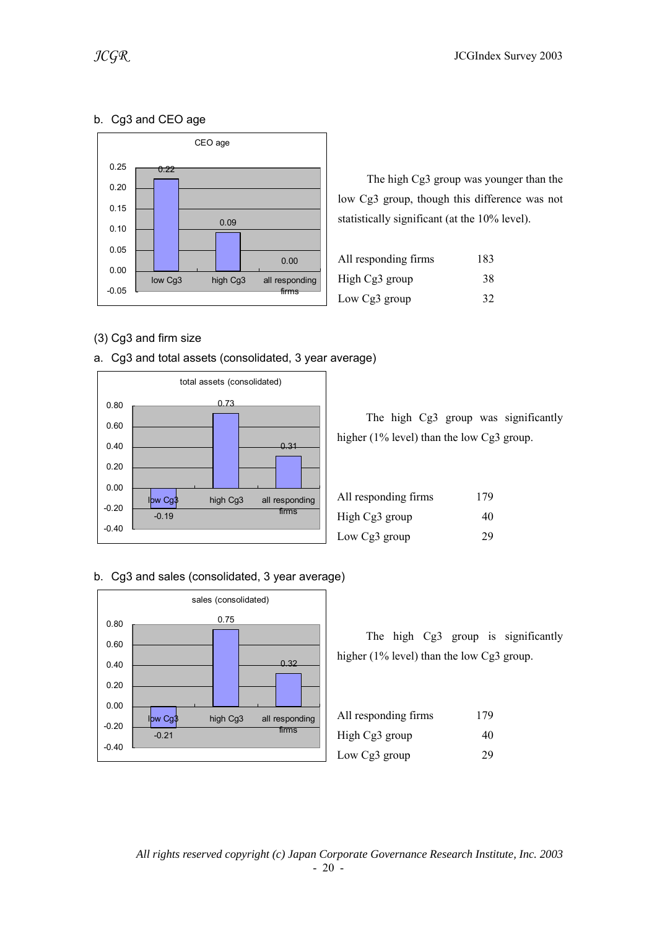## b. Cg3 and CEO age

![](_page_19_Figure_3.jpeg)

 The high Cg3 group was younger than the low Cg3 group, though this difference was not statistically significant (at the 10% level).

| All responding firms | 183 |
|----------------------|-----|
| High Cg3 group       | 38  |
| Low Cg3 group        | 32  |

### (3) Cg3 and firm size

![](_page_19_Figure_7.jpeg)

![](_page_19_Figure_8.jpeg)

|                                              |  |  | The high Cg3 group was significantly |
|----------------------------------------------|--|--|--------------------------------------|
| higher $(1\%$ level) than the low Cg3 group. |  |  |                                      |

| All responding firms | 179 |
|----------------------|-----|
| High Cg3 group       | 40  |
| Low Cg3 group        | 29  |

### b. Cg3 and sales (consolidated, 3 year average)

![](_page_19_Figure_12.jpeg)

| All responding firms | 179 |
|----------------------|-----|
| High Cg3 group       | 40  |
| Low Cg3 group        | 29  |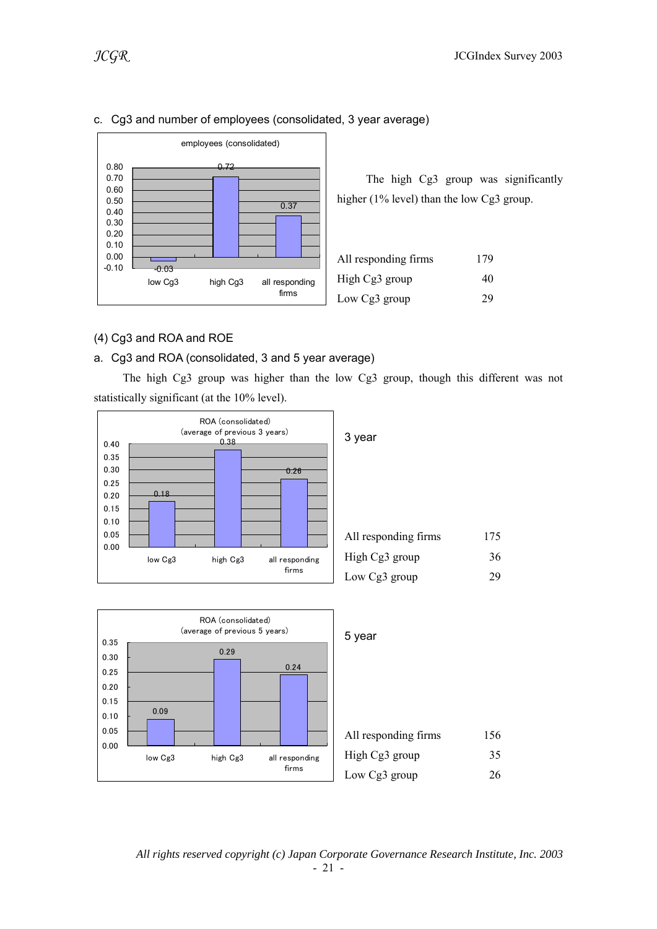![](_page_20_Figure_2.jpeg)

#### c. Cg3 and number of employees (consolidated, 3 year average)

 The high Cg3 group was significantly higher (1% level) than the low Cg3 group.

| All responding firms | 179 |
|----------------------|-----|
| High Cg3 group       | 40  |
| Low Cg3 group        | 29  |

#### (4) Cg3 and ROA and ROE

#### a. Cg3 and ROA (consolidated, 3 and 5 year average)

 The high Cg3 group was higher than the low Cg3 group, though this different was not statistically significant (at the 10% level).

![](_page_20_Figure_9.jpeg)

![](_page_20_Figure_10.jpeg)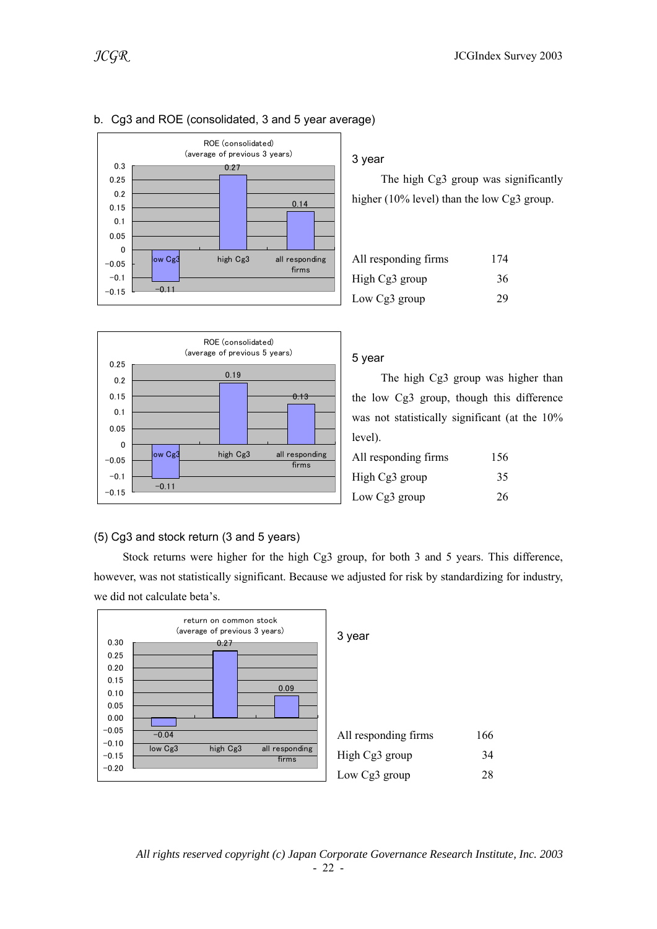![](_page_21_Figure_1.jpeg)

|         | ROE (consolidated)<br>(average of previous 3 years) |
|---------|-----------------------------------------------------|
| 0.3     | 0.27                                                |
| 0.25    |                                                     |
| 0.2     |                                                     |
| 0.15    | 0.14                                                |
| 0.1     |                                                     |
| 0.05    |                                                     |
| 0       |                                                     |
| $-0.05$ | ow Cg3<br>high Cg3<br>all responding                |
|         | firms                                               |
| $-0.1$  |                                                     |
| $-0.15$ | $-0.11$                                             |
|         |                                                     |

### b. Cg3 and ROE (consolidated, 3 and 5 year average)

#### 3 year

 The high Cg3 group was significantly higher (10% level) than the low Cg3 group.

| All responding firms | 174 |
|----------------------|-----|
| High Cg3 group       | 36  |
| Low Cg3 group        | 29  |

![](_page_21_Figure_7.jpeg)

#### 5 year

 The high Cg3 group was higher than the low Cg3 group, though this difference was not statistically significant (at the 10% level).

| All responding firms | 156 |
|----------------------|-----|
| High Cg3 group       | 35  |
| Low Cg3 group        | 26  |

#### (5) Cg3 and stock return (3 and 5 years)

 Stock returns were higher for the high Cg3 group, for both 3 and 5 years. This difference, however, was not statistically significant. Because we adjusted for risk by standardizing for industry, we did not calculate beta's.

![](_page_21_Figure_13.jpeg)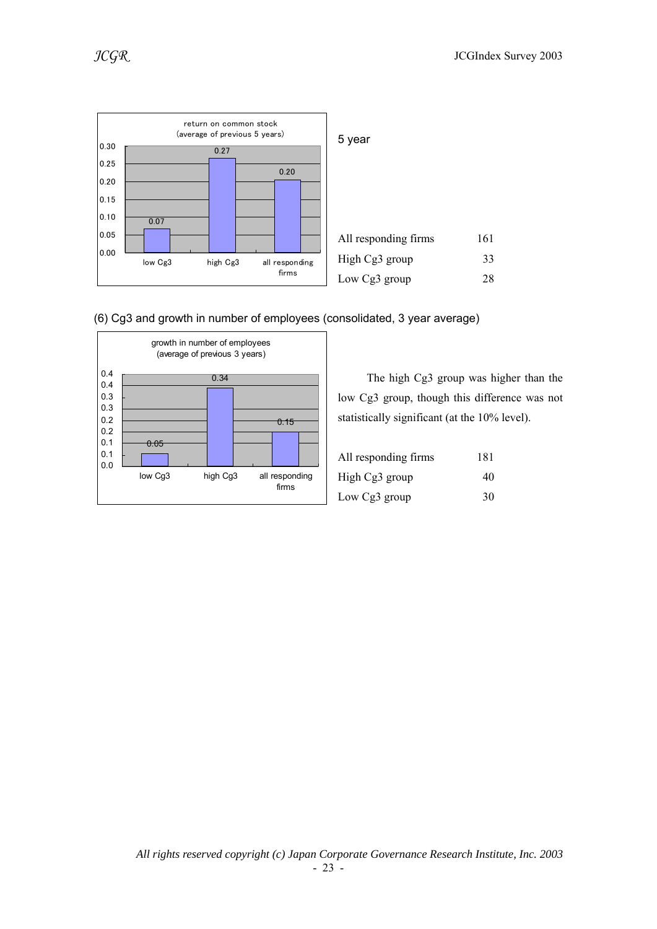![](_page_22_Figure_2.jpeg)

![](_page_22_Figure_3.jpeg)

![](_page_22_Figure_4.jpeg)

 The high Cg3 group was higher than the low Cg3 group, though this difference was not statistically significant (at the 10% level).

| All responding firms | 181 |
|----------------------|-----|
| High Cg3 group       | 40  |
| Low Cg3 group        | 30  |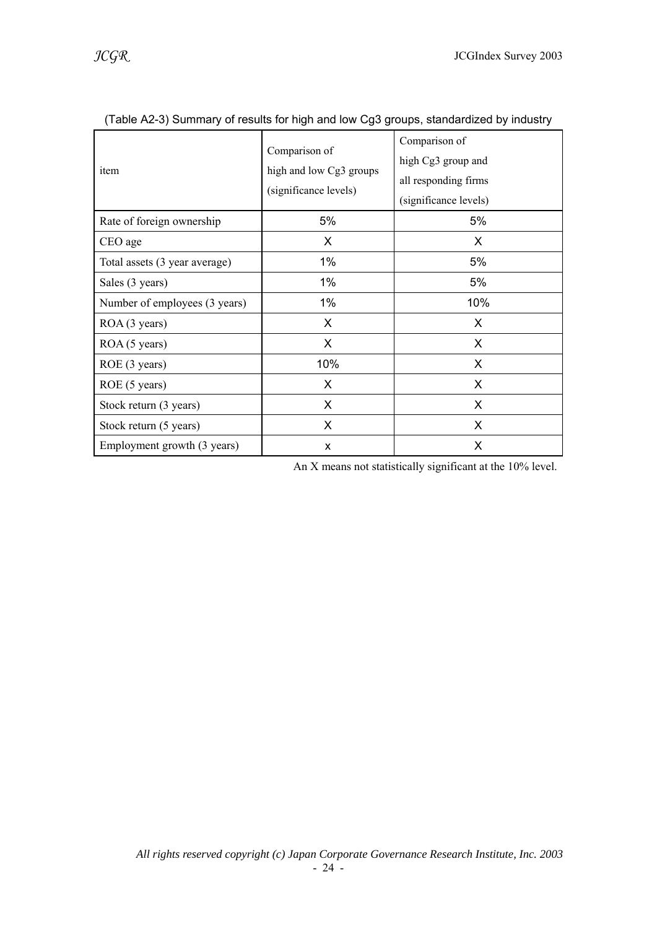| item                          | Comparison of<br>high and low Cg3 groups<br>(significance levels) | Comparison of<br>high Cg3 group and<br>all responding firms<br>(significance levels) |
|-------------------------------|-------------------------------------------------------------------|--------------------------------------------------------------------------------------|
| Rate of foreign ownership     | 5%                                                                | 5%                                                                                   |
| CEO age                       | X.                                                                | X                                                                                    |
| Total assets (3 year average) | 1%                                                                | 5%                                                                                   |
| Sales (3 years)               | 1%                                                                | 5%                                                                                   |
| Number of employees (3 years) | 1%                                                                | 10%                                                                                  |
| ROA (3 years)                 | X                                                                 | X.                                                                                   |
| ROA (5 years)                 | X                                                                 | X                                                                                    |
| ROE (3 years)                 | 10%                                                               | X.                                                                                   |
| ROE (5 years)                 | X.                                                                | X.                                                                                   |
| Stock return (3 years)        | $\mathsf{X}$                                                      | X                                                                                    |
| Stock return (5 years)        | X                                                                 | X.                                                                                   |
| Employment growth (3 years)   | X                                                                 | X                                                                                    |

(Table A2-3) Summary of results for high and low Cg3 groups, standardized by industry

An X means not statistically significant at the 10% level.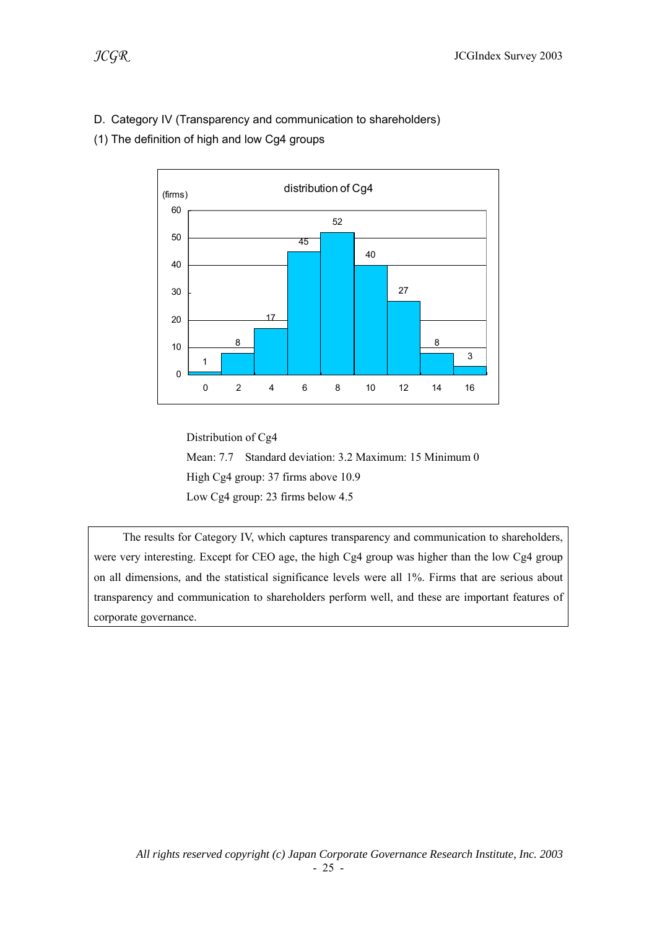### D. Category IV (Transparency and communication to shareholders)

(1) The definition of high and low Cg4 groups

![](_page_24_Figure_4.jpeg)

 Distribution of Cg4 Mean: 7.7 Standard deviation: 3.2 Maximum: 15 Minimum 0 High Cg4 group: 37 firms above 10.9 Low Cg4 group: 23 firms below 4.5

 The results for Category IV, which captures transparency and communication to shareholders, were very interesting. Except for CEO age, the high Cg4 group was higher than the low Cg4 group on all dimensions, and the statistical significance levels were all 1%. Firms that are serious about transparency and communication to shareholders perform well, and these are important features of corporate governance.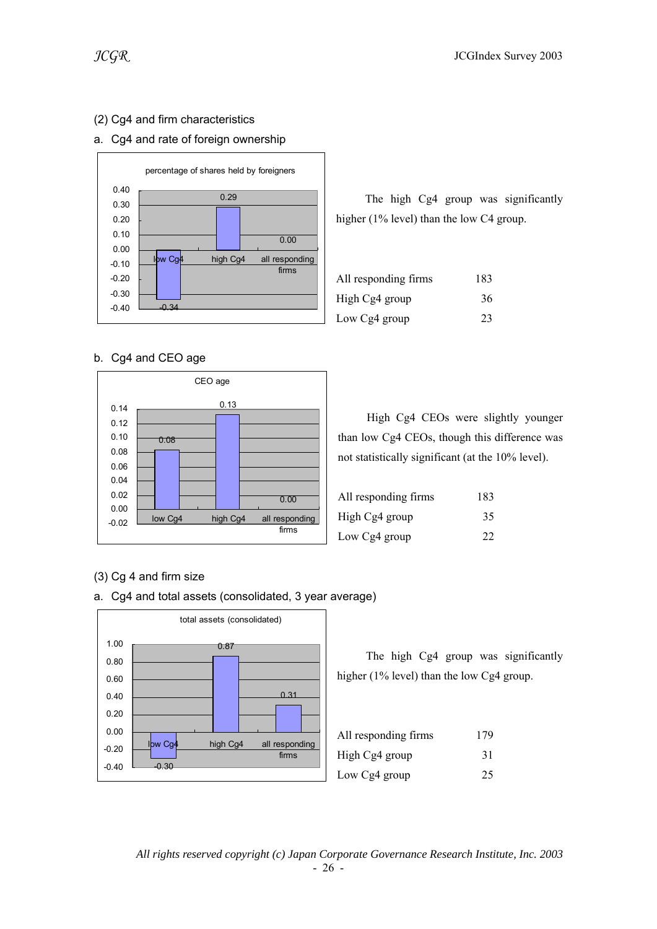### (2) Cg4 and firm characteristics

#### a. Cg4 and rate of foreign ownership

![](_page_25_Figure_4.jpeg)

b. Cg4 and CEO age

![](_page_25_Figure_6.jpeg)

### (3) Cg 4 and firm size

a. Cg4 and total assets (consolidated, 3 year average)

![](_page_25_Figure_9.jpeg)

 The high Cg4 group was significantly higher (1% level) than the low C4 group.

| All responding firms | 183 |
|----------------------|-----|
| High Cg4 group       | 36  |
| Low Cg4 group        | 23  |

 High Cg4 CEOs were slightly younger than low Cg4 CEOs, though this difference was not statistically significant (at the 10% level).

| All responding firms | 183 |
|----------------------|-----|
| High Cg4 group       | 35  |
| Low Cg4 group        | 22  |

| All responding firms | 179 |
|----------------------|-----|
| High Cg4 group       | 31  |
| Low Cg4 group        | 25  |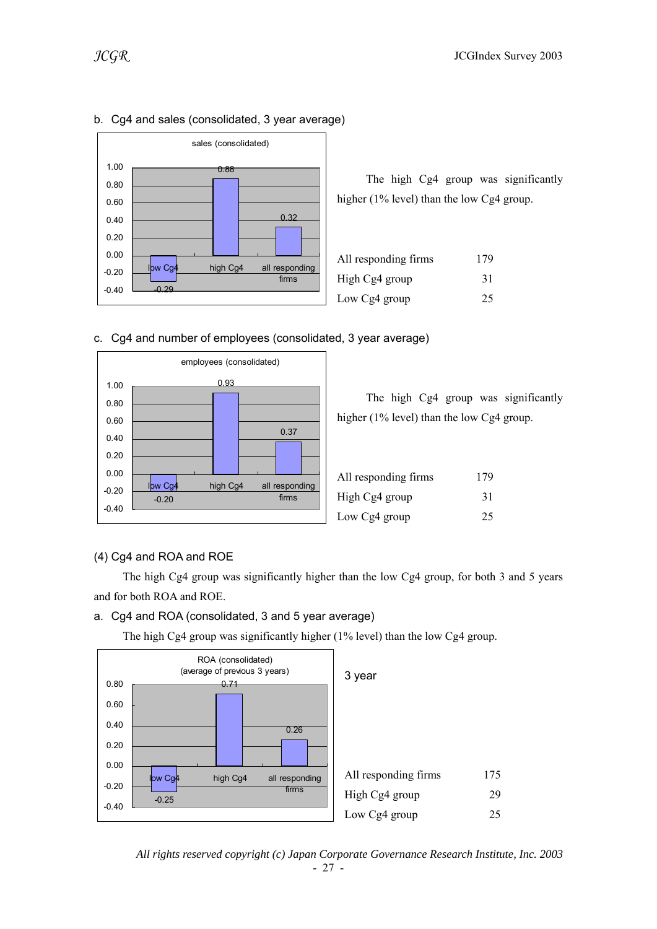![](_page_26_Figure_2.jpeg)

### b. Cg4 and sales (consolidated, 3 year average)

 The high Cg4 group was significantly higher (1% level) than the low Cg4 group.

| All responding firms | 179 |
|----------------------|-----|
| High Cg4 group       | 31  |
| Low Cg4 group        | 25  |

### c. Cg4 and number of employees (consolidated, 3 year average)

![](_page_26_Figure_7.jpeg)

 The high Cg4 group was significantly higher (1% level) than the low Cg4 group.

| All responding firms | 179 |
|----------------------|-----|
| High Cg4 group       | 31  |
| Low Cg4 group        | 25  |

#### (4) Cg4 and ROA and ROE

 The high Cg4 group was significantly higher than the low Cg4 group, for both 3 and 5 years and for both ROA and ROE.

#### a. Cg4 and ROA (consolidated, 3 and 5 year average)

![](_page_26_Figure_14.jpeg)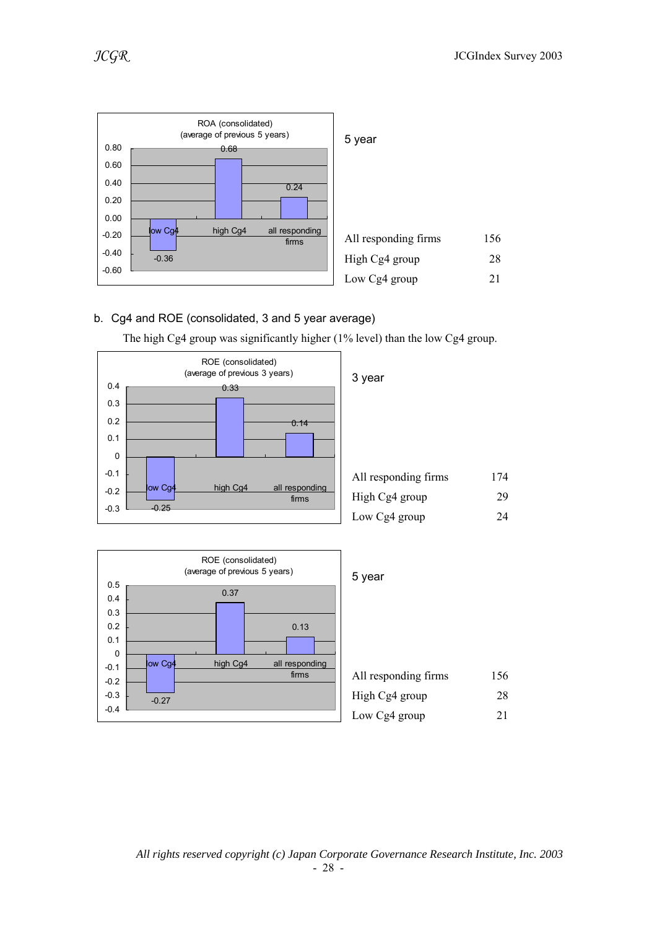![](_page_27_Figure_2.jpeg)

### b. Cg4 and ROE (consolidated, 3 and 5 year average)

![](_page_27_Figure_5.jpeg)

| All responding firms | 174 |
|----------------------|-----|
| High Cg4 group       | 29  |
| Low Cg4 group        | 24  |

![](_page_27_Figure_7.jpeg)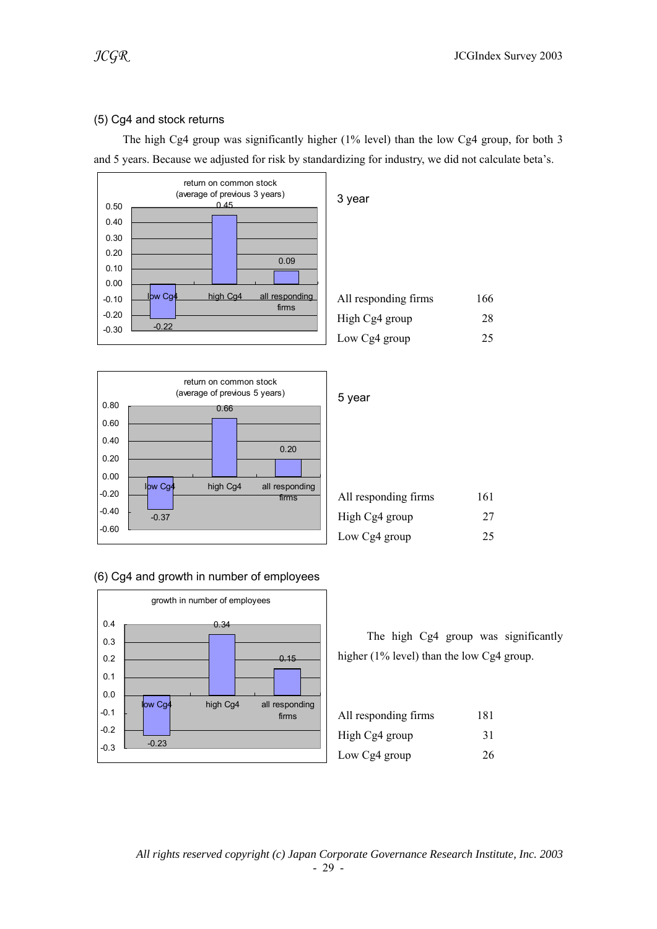### (5) Cg4 and stock returns

 The high Cg4 group was significantly higher (1% level) than the low Cg4 group, for both 3 and 5 years. Because we adjusted for risk by standardizing for industry, we did not calculate beta's.

![](_page_28_Figure_4.jpeg)

|         | return on common stock<br>(average of previous 5 years) |           |
|---------|---------------------------------------------------------|-----------|
| 0.80    | 0.66                                                    | 5 year    |
| 0.60    |                                                         |           |
| 0.40    | 0.20                                                    |           |
| 0.20    |                                                         |           |
| 0.00    |                                                         |           |
| $-0.20$ | lbw Cg4<br>high Cg4<br>all responding<br>firms          | All resp  |
| $-0.40$ | $-0.37$                                                 | High C    |
| $-0.60$ |                                                         | Low $C_1$ |

### (6) Cg4 and growth in number of employees

![](_page_28_Figure_7.jpeg)

| All responding firms | 166 |
|----------------------|-----|
| High Cg4 group       | 28  |
| Low Cg4 group        | 25  |

| All responding firms | 161 |
|----------------------|-----|
| High Cg4 group       | 27  |
| Low Cg4 group        | 25  |

| All responding firms | 181 |
|----------------------|-----|
| High Cg4 group       | 31  |
| Low Cg4 group        | 26  |